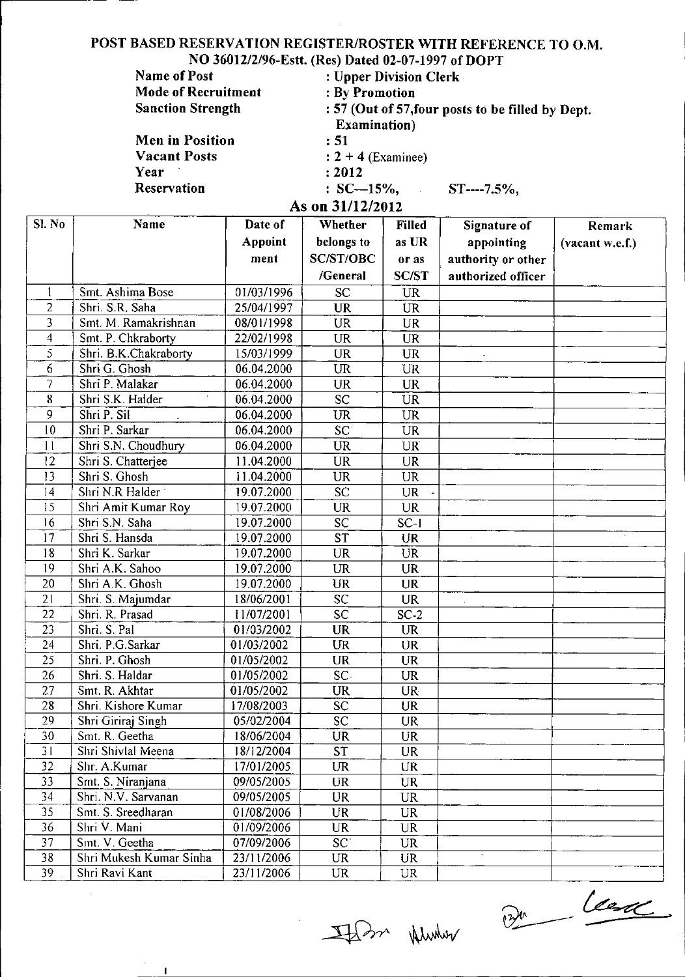### POST BASED RESERVATION REGISTER/ROSTER WITH REFERENCE TO O.M. NO *360I2/2/96-Estt.* (Res) Dated 02-07-1997 of DOPT

| <b>Name of Post</b>        | : Upper Division Clerk                            |  |  |  |  |
|----------------------------|---------------------------------------------------|--|--|--|--|
| <b>Mode of Recruitment</b> | : By Promotion                                    |  |  |  |  |
| <b>Sanction Strength</b>   | : 57 (Out of 57, four posts to be filled by Dept. |  |  |  |  |
|                            | <b>Examination</b> )                              |  |  |  |  |
| Men in Position            | : 51                                              |  |  |  |  |
| <b>Vacant Posts</b>        | $: 2 + 4$ (Examinee)                              |  |  |  |  |
| Year                       | : 2012                                            |  |  |  |  |
| Reservation                | $SC-15\%,$ $ST---7.5\%,$                          |  |  |  |  |
|                            | As on 31/12/2012                                  |  |  |  |  |

| Sl. No          | Name                    | Date of        | Whether                | <b>Filled</b>   | Signature of       | <b>Remark</b>   |
|-----------------|-------------------------|----------------|------------------------|-----------------|--------------------|-----------------|
|                 |                         | <b>Appoint</b> | belongs to             | as UR           | appointing         | (vacant w.e.f.) |
|                 |                         | ment           | <b>SC/ST/OBC</b>       | or as           | authority or other |                 |
|                 |                         |                | /General               | <b>SC/ST</b>    | authorized officer |                 |
|                 | Smt. Ashima Bose        | 01/03/1996     | <b>SC</b>              | <b>UR</b>       |                    |                 |
| $\overline{2}$  | Shri. S.R. Saha         | 25/04/1997     | <b>UR</b>              | <b>UR</b>       |                    |                 |
| 3               | Smt. M. Ramakrishnan    | 08/01/1998     | <b>UR</b>              | <b>UR</b>       |                    |                 |
| $\overline{4}$  | Smt. P. Chkraborty      | 22/02/1998     | <b>UR</b>              | <b>UR</b>       |                    |                 |
| 5               | Shri. B.K.Chakraborty   | 15/03/1999     | <b>UR</b>              | <b>UR</b>       |                    |                 |
| 6               | Shri G. Ghosh           | 06.04.2000     | <b>UR</b>              | <b>UR</b>       |                    |                 |
| $\overline{7}$  | Shri P. Malakar         | 06.04.2000     | <b>UR</b>              | <b>UR</b>       |                    |                 |
| 8               | Shri S.K. Halder        | 06.04.2000     | SC                     | <b>UR</b>       |                    |                 |
| 9               | Shri P. Sil             | 06.04.2000     | <b>UR</b>              | <b>UR</b>       |                    |                 |
| 10              | Shri P. Sarkar          | 06.04.2000     | $\overline{SC}$        | <b>UR</b>       |                    |                 |
| 11              | Shri S.N. Choudhury     | 06.04.2000     | <b>UR</b>              | <b>UR</b>       |                    |                 |
| 12              | Shri S. Chatterjee      | 11.04.2000     | <b>UR</b>              | <b>UR</b>       |                    |                 |
| 13              | Shri S. Ghosh           | 11.04.2000     | <b>UR</b>              | <b>UR</b>       |                    |                 |
| 4               | Shri N.R Halder         | 19.07.2000     | $\overline{SC}$        | <b>UR</b>       |                    |                 |
| 15              | Shri Amit Kumar Roy     | 19.07.2000     | <b>UR</b>              | <b>UR</b>       |                    |                 |
| 16              | Shri S.N. Saha          | 19.07.2000     | SC                     | $SC-1$          |                    |                 |
| 17              | Shri S. Hansda          | 19.07.2000     | <b>ST</b>              | <b>UR</b>       |                    |                 |
| 18              | Shri K. Sarkar          | 19.07.2000     | <b>UR</b>              | <b>UR</b>       |                    |                 |
| 9               | Shri A.K. Sahoo         | 19.07.2000     | <b>UR</b>              | <b>UR</b>       |                    |                 |
| 20              | Shri A.K. Ghosh         | 19.07.2000     | <b>UR</b>              | <b>UR</b>       |                    |                 |
| 21              | Shri. S. Majumdar       | 18/06/2001     | <b>SC</b>              | <b>UR</b>       |                    |                 |
| 22              | Shri. R. Prasad         | 11/07/2001     | SC                     | $SC-2$          |                    |                 |
| 23              | Shri. S. Pal            | 01/03/2002     | <b>UR</b>              | <b>UR</b>       |                    |                 |
| 24              | Shri. P.G.Sarkar        | 01/03/2002     | <b>UR</b>              | <b>UR</b>       |                    |                 |
| 25              | Shri. P. Ghosh          | 01/05/2002     | <b>UR</b>              | <b>UR</b>       |                    |                 |
| 26              | Shri. S. Haldar         | 01/05/2002     | SC.                    | UR              |                    |                 |
| 27              | Smt. R. Akhtar          | 01/05/2002     | <b>UR</b>              | UR-             |                    |                 |
| 28              | Shri. Kishore Kumar     | 17/08/2003     | <b>SC</b>              | <b>UR</b>       |                    |                 |
| 29              | Shri Giriraj Singh      | 05/02/2004     | SC                     | <b>UR</b>       |                    |                 |
| $\overline{30}$ | Smt. R. Geetha          | 18/06/2004     | $\overline{\text{UR}}$ | $\overline{UR}$ |                    |                 |
| 31              | Shri Shivlal Meena      | 18/12/2004     | <b>ST</b>              | <b>UR</b>       |                    |                 |
| 32              | Shr. A.Kumar            | 17/01/2005     | <b>UR</b>              | <b>UR</b>       |                    |                 |
| 33              | Smt. S. Niranjana       | 09/05/2005     | UR                     | <b>UR</b>       |                    |                 |
| 34              | Shri. N.V. Sarvanan     | 09/05/2005     | <b>UR</b>              | <b>UR</b>       |                    |                 |
| 35              | Smt. S. Sreedharan      | 01/08/2006     | <b>UR</b>              | <b>UR</b>       |                    |                 |
| 36              | Shri V. Mani            | 01/09/2006     | UR                     | UR.             |                    |                 |
| 37              | Smt. V. Geetha          | 07/09/2006     | SC <sup>-</sup>        | <b>UR</b>       |                    |                 |
| 38              | Shri Mukesh Kumar Sinha | 23/11/2006     | <b>UR</b>              | <b>UR</b>       |                    |                 |
| 39              | Shri Ravi Kant          | 23/11/2006     | UR                     | <b>UR</b>       |                    |                 |

Whenhel recht

 $\hat{\mathcal{L}}$ 

 $\frac{1}{124}$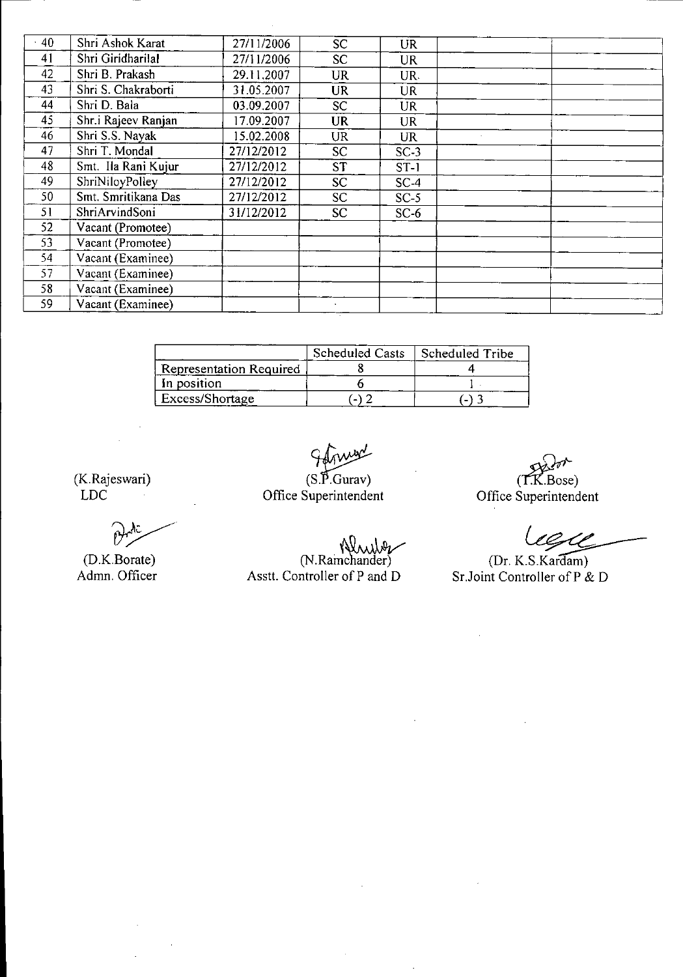| .40 | Shri Ashok Karat    | 27/11/2006 | <b>SC</b>       | UR.       |  |  |
|-----|---------------------|------------|-----------------|-----------|--|--|
| 41  | Shri Giridharilal   | 27/11/2006 | SC <sub>1</sub> | UR        |  |  |
| 42  | Shri B. Prakash     | 29.11.2007 | UR              | UR.       |  |  |
| 43  | Shri S. Chakraborti | 31.05.2007 | <b>UR</b>       | <b>UR</b> |  |  |
| 44  | Shri D. Bala        | 03.09.2007 | SC.             | <b>UR</b> |  |  |
| 45  | Shr.i Rajeev Ranjan | 17.09.2007 | <b>UR</b>       | <b>UR</b> |  |  |
| 46  | Shri S.S. Nayak     | 15.02.2008 | UR              | UR        |  |  |
| 47  | Shri T. Mondal      | 27/12/2012 | <b>SC</b>       | $SC-3$    |  |  |
| 48  | Smt. Ila Rani Kujur | 27/12/2012 | <b>ST</b>       | $ST-1$    |  |  |
| 49  | ShriNiloyPolley     | 27/12/2012 | SC.             | $SC-4$    |  |  |
| 50  | Smt. Smritikana Das | 27/12/2012 | SC.             | $SC-5$    |  |  |
| 51  | ShriArvindSoni      | 31/12/2012 | SC.             | $SC-6$    |  |  |
| 52  | Vacant (Promotee)   |            |                 |           |  |  |
| 53  | Vacant (Promotee)   |            |                 |           |  |  |
| 54  | Vacant (Examinee)   |            |                 |           |  |  |
| 57  | Vacant (Examinee)   |            |                 |           |  |  |
| 58  | Vacant (Examinee)   |            |                 |           |  |  |
| 59  | Vacant (Examinee)   |            |                 |           |  |  |

 $\bar{z}$ 

|                         | <b>Scheduled Casts</b> | Scheduled Tribe |
|-------------------------|------------------------|-----------------|
| Representation Required |                        |                 |
| In position             |                        |                 |
| Excess/Shortage         |                        |                 |

 $\frac{\partial f}{\partial x}$ 

 $(S.\widetilde{P}$ . Gurav) Office Superintendent

 $\ddot{\phantom{a}}$ 

(D.K.Borate) (N.Ramchander) (Dr. K.S.Kardar

 $(T.K.Bose)$ (K.Rajeswari) *C~ose)*

(Dr. K.S. Kardam) Admn. Officer Asstt. Controller of P and D Sr. Joint Controller of P & D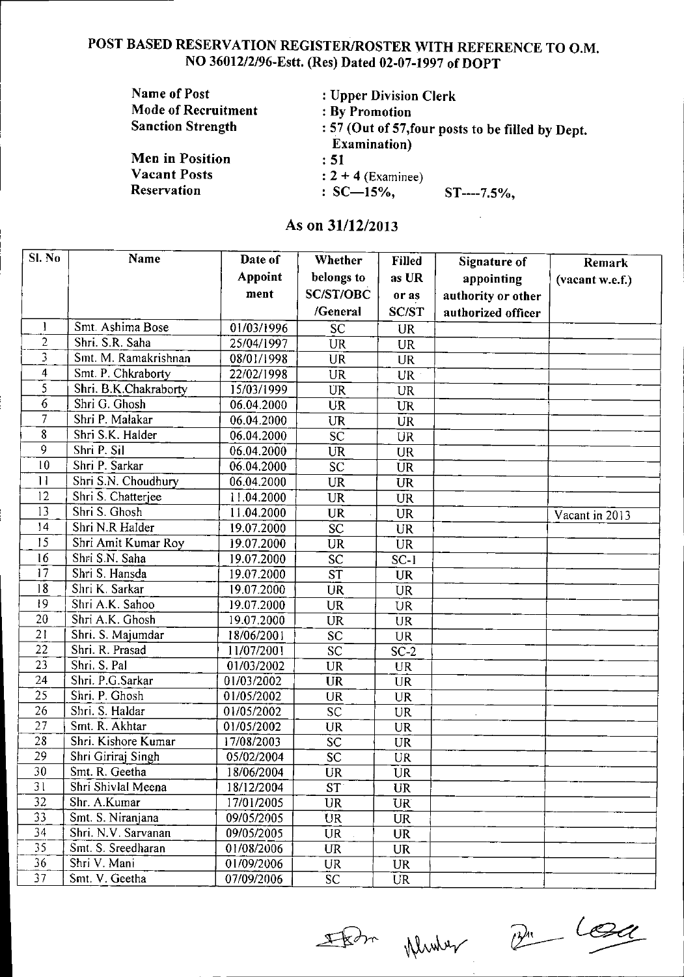# POST BASED RESERVATION REGISTER/ROSTER WITH REFERENCE TO O.M. NO 36012/2/96-Estt. (Res) Dated 02-07-1997 of DOPT

| Name of Post               | : Upper Division Clerk                                                   |
|----------------------------|--------------------------------------------------------------------------|
| <b>Mode of Recruitment</b> | : By Promotion                                                           |
| <b>Sanction Strength</b>   | : 57 (Out of 57, four posts to be filled by Dept<br><b>Examination</b> ) |
| <b>Men in Position</b>     | : 51                                                                     |
| <b>Vacant Posts</b>        | $: 2 + 4$ (Examinee)                                                     |
| <b>Reservation</b>         | $: SC-15\%$ .<br>$ST$ ----7.5%,                                          |

# As on 31/12/2013

i I I

| Sl. No         | Name                  | Date of        | Whether          | <b>Filled</b>   | Signature of       | Remark                      |
|----------------|-----------------------|----------------|------------------|-----------------|--------------------|-----------------------------|
|                |                       | <b>Appoint</b> | belongs to       | as UR           | appointing         | (vacant w.e.f.)             |
|                |                       | ment           | <b>SC/ST/OBC</b> | or as           | authority or other |                             |
|                |                       |                | /General         | <b>SC/ST</b>    | authorized officer |                             |
| 1              | Smt. Ashima Bose      | 01/03/1996     | <b>SC</b>        | <b>UR</b>       |                    |                             |
| $\overline{2}$ | Shri. S.R. Saha       | 25/04/1997     | <b>UR</b>        | <b>UR</b>       |                    |                             |
| 3              | Smt. M. Ramakrishnan  | 08/01/1998     | <b>UR</b>        | <b>UR</b>       |                    |                             |
| $\overline{4}$ | Smt. P. Chkraborty    | 22/02/1998     | <b>UR</b>        | UR :            |                    |                             |
| 5              | Shri. B.K.Chakraborty | 15/03/1999     | <b>UR</b>        | <b>UR</b>       |                    |                             |
| 6              | Shri G. Ghosh         | 06.04.2000     | <b>UR</b>        | <b>UR</b>       |                    |                             |
| 7              | Shri P. Malakar       | 06.04.2000     | <b>UR</b>        | <b>UR</b>       |                    |                             |
| 8              | Shri S.K. Halder      | 06.04.2000     | $\overline{SC}$  | <b>UR</b>       |                    |                             |
| 9              | Shri P. Sil           | 06.04.2000     | <b>UR</b>        | <b>UR</b>       |                    |                             |
| 10             | Shri P. Sarkar        | 06.04.2000     | SC               | <b>UR</b>       |                    |                             |
| 11             | Shri S.N. Choudhury   | 06.04.2000     | <b>UR</b>        | <b>UR</b>       |                    |                             |
| 12             | Shri S. Chatterjee    | 11.04.2000     | <b>UR</b>        | <b>UR</b>       |                    |                             |
| 13             | Shri S. Ghosh         | 11.04.2000     | UR               | <b>UR</b>       |                    | Vacant in $\overline{2013}$ |
| 14             | Shri N.R Halder       | 19.07.2000     | <b>SC</b>        | <b>UR</b>       |                    |                             |
| 15             | Shri Amit Kumar Roy   | 19.07.2000     | <b>UR</b>        | <b>UR</b>       |                    |                             |
| 16             | Shri S.N. Saha        | 19.07.2000     | $\overline{SC}$  | $SC-1$          |                    |                             |
| 17             | Shri S. Hansda        | 19.07.2000     | ST               | <b>UR</b>       |                    |                             |
| 18             | Shri K Sarkar         | 19.07.2000     | <b>UR</b>        | <b>UR</b>       |                    |                             |
| 19             | Shri A.K. Sahoo       | 19.07.2000     | <b>UR</b>        | <b>UR</b>       |                    |                             |
| 20             | Shri A.K. Ghosh       | 19.07.2000     | <b>UR</b>        | <b>UR</b>       |                    |                             |
| 21             | Shri. S. Majumdar     | 18/06/2001     | SC               | <b>UR</b>       |                    |                             |
| 22             | Shri. R. Prasad       | 11/07/2001     | $\overline{SC}$  | $SC-2$          |                    |                             |
| 23             | Shri S. Pal           | 01/03/2002     | <b>UR</b>        | <b>UR</b>       |                    |                             |
| 24             | Shri. P.G.Sarkar      | 01/03/2002     | <b>UR</b>        | <b>UR</b>       |                    |                             |
| 25             | Shri. P. Ghosh        | 01/05/2002     | <b>UR</b>        | <b>UR</b>       |                    |                             |
| 26             | Shri. S. Haldar       | 01/05/2002     | SĊ               | <b>UR</b>       |                    |                             |
| 27             | Smt. R. Akhtar        | 01/05/2002     | <b>UR</b>        | <b>UR</b>       |                    |                             |
| 28             | Shri. Kishore Kumar   | 17/08/2003     | SC               | <b>UR</b>       |                    |                             |
| 29             | Shri Giriraj Singh    | 05/02/2004     | $\overline{SC}$  | <b>UR</b>       |                    |                             |
| 30             | Smt. R. Geetha        | 18/06/2004     | <b>UR</b>        | <b>UR</b>       |                    |                             |
| 31             | Shri Shivlal Meena    | 18/12/2004     | ST               | <b>UR</b>       |                    |                             |
| 32             | Shr. A.Kumar          | 17/01/2005     | <b>UR</b>        | UR <sup>®</sup> |                    |                             |
| 33             | Smt. S. Niranjana     | 09/05/2005     | <b>UR</b>        | <b>UR</b>       |                    |                             |
| 34             | Shri. N.V. Sarvanan   | 09/05/2005     | <b>UR</b>        | <b>UR</b>       |                    |                             |
| 35             | Smt. S. Sreedharan    | 01/08/2006     | <b>UR</b>        | <b>UR</b>       |                    |                             |
| 36             | Shri V. Mani          | 01/09/2006     | UR               | UR.             |                    |                             |
| 37             | Smt. V. Geetha        | 07/09/2006     | SC               | <b>UR</b>       |                    |                             |

For Munder Br Log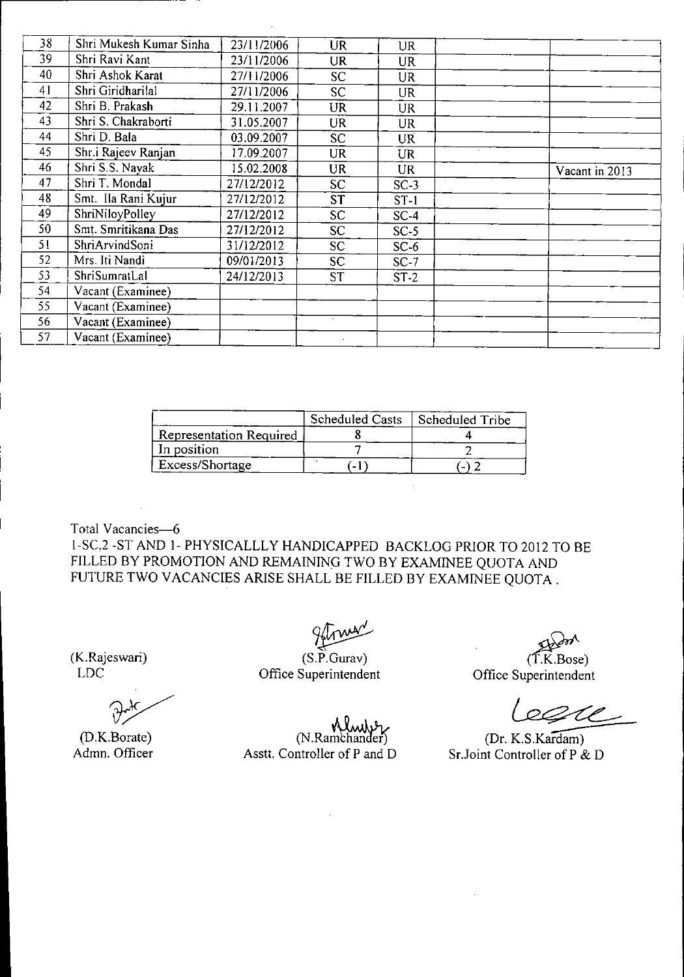| 38 | Shri Mukesh Kumar Sinha | 23/11/2006 | <b>UR</b>       | <b>UR</b> |                |  |
|----|-------------------------|------------|-----------------|-----------|----------------|--|
| 39 | Shri Ravi Kant          | 23/11/2006 | UR              | <b>UR</b> |                |  |
| 40 | Shri Ashok Karat        | 27/11/2006 | SC.             | <b>UR</b> |                |  |
| 41 | Shri Giridharilal       | 27/11/2006 | SC.             | <b>UR</b> |                |  |
| 42 | Shri B. Prakash         | 29.11.2007 | <b>UR</b>       | <b>UR</b> |                |  |
| 43 | Shri S. Chakraborti     | 31.05.2007 | <b>UR</b>       | <b>UR</b> |                |  |
| 44 | Shri D. Bala            | 03.09.2007 | SC.             | <b>UR</b> |                |  |
| 45 | Shr.i Rajeev Ranjan     | 17.09.2007 | <b>UR</b>       | <b>UR</b> |                |  |
| 46 | Shri S.S. Nayak         | 15.02.2008 | <b>UR</b>       | <b>UR</b> | Vacant in 2013 |  |
| 47 | Shri T. Mondal          | 27/12/2012 | <b>SC</b>       | $SC-3$    |                |  |
| 48 | Smt. Ila Rani Kujur     | 27/12/2012 | <b>ST</b>       | $ST-1$    |                |  |
| 49 | ShriNiloyPolley         | 27/12/2012 | <b>SC</b>       | $SC-4$    |                |  |
| 50 | Smt. Smritikana Das     | 27/12/2012 | SC <sub>1</sub> | $SC-5$    |                |  |
| 51 | ShriArvindSoni          | 31/12/2012 | SC.             | $SC-6$    |                |  |
| 52 | Mrs. Iti Nandi          | 09/01/2013 | SC.             | $SC-7$    |                |  |
| 53 | ShriSumratLal           | 24/12/2013 | <b>ST</b>       | $ST-2$    |                |  |
| 54 | Vacant (Examinee)       |            |                 |           |                |  |
| 55 | Vacant (Examinee)       |            |                 |           |                |  |
| 56 | Vacant (Examinee)       |            |                 |           |                |  |
| 57 | Vacant (Examinee)       |            |                 |           |                |  |
|    |                         |            |                 |           |                |  |

|                         | <b>Scheduled Casts</b> | Scheduled Tribe |
|-------------------------|------------------------|-----------------|
| Representation Required |                        |                 |
| In position             |                        |                 |
| Excess/Shortage         | $\sim$ 1               |                 |

Total Vacancies-6 I-SC,2 -ST AND 1- PHYSICALLLY HANDICAPPED BACKLOG PRIOR TO 2012 TO BE FILLED BY PROMOTION AND REMAINING TWO BY EXAMINEE QUOTA AND FUTURE TWO VACANCIES ARISE SHALL BE FILLED BY EXAMINEE QUOTA.

(K.Rajeswari) LDC

(D.K.Borate) Admn. Officer

!<br>~

(S.P.Gura<sup>,</sup> Office Superintendent

 $(T.K.Bose)$ Office Superintendent

equ

(Dr. K.S.Kardam) Sr.Joint Controller of P & D

(N.Ramchander) Asstt. Controller of P and D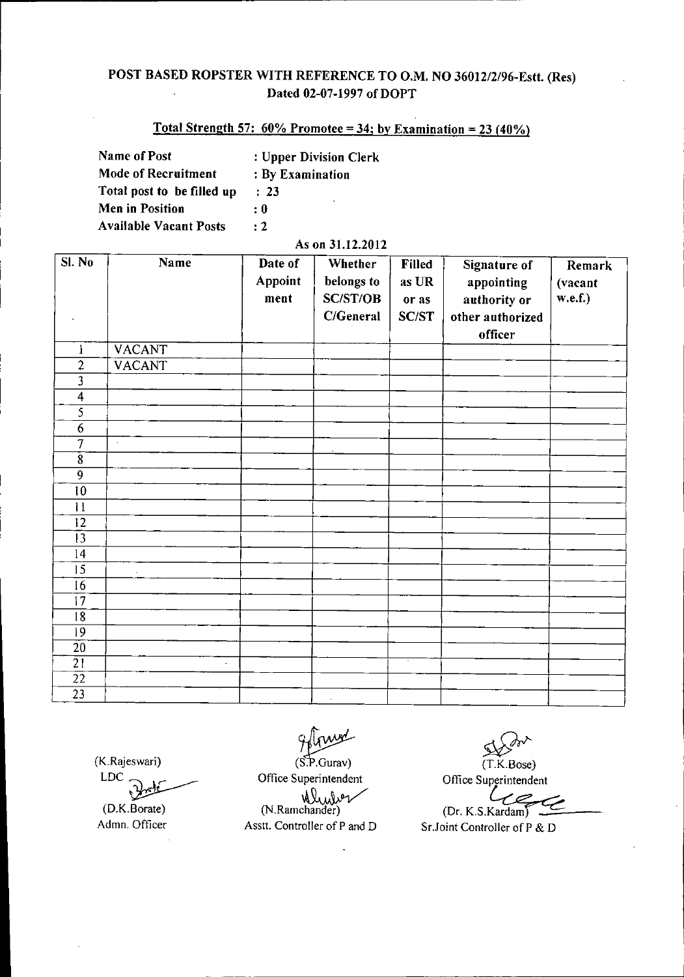### POST BASED ROPSTER WITH REFERENCE TO O.M. NO 36012/2/96-Estt. (Res) Dated 02-07-1997 of DOPT

# Total Strength 57:  $60\%$  Promotee = 34; by Examination = 23 (40%)

| <b>Name of Post</b>           | : Upper Division Clerk |
|-------------------------------|------------------------|
| <b>Mode of Recruitment</b>    | : By Examination       |
| Total post to be filled up    | : 23                   |
| Men in Position               | ۰<br>: 0               |
| <b>Available Vacant Posts</b> | $\cdot$ 2              |

#### As on 31.12.2012

| SI. No                  | Name          | Date of<br>Appoint<br>ment | <b>Whether</b><br>belongs to<br><b>SC/ST/OB</b><br>C/General | Filled<br>as UR<br>or as<br><b>SC/ST</b> | Signature of<br>appointing<br>authority or<br>other authorized<br>officer | Remark<br>(vacant<br>w.e.f.) |
|-------------------------|---------------|----------------------------|--------------------------------------------------------------|------------------------------------------|---------------------------------------------------------------------------|------------------------------|
| $\mathbf{l}$            | <b>VACANT</b> |                            |                                                              |                                          |                                                                           |                              |
| $\overline{2}$          | <b>VACANT</b> |                            |                                                              |                                          |                                                                           |                              |
| $\overline{\mathbf{3}}$ |               |                            |                                                              |                                          |                                                                           |                              |
| $\overline{4}$          |               |                            |                                                              |                                          |                                                                           |                              |
| $\overline{\mathbf{5}}$ |               |                            |                                                              |                                          |                                                                           |                              |
| 6                       |               |                            |                                                              |                                          |                                                                           |                              |
| 7                       | $\alpha$      |                            |                                                              |                                          |                                                                           |                              |
| $\overline{8}$          |               |                            |                                                              |                                          |                                                                           |                              |
| $\overline{9}$          |               |                            |                                                              |                                          |                                                                           |                              |
| 10                      |               |                            |                                                              |                                          |                                                                           |                              |
| 11                      |               |                            |                                                              |                                          |                                                                           |                              |
| 12                      |               |                            |                                                              |                                          |                                                                           |                              |
| 13                      |               |                            |                                                              |                                          |                                                                           |                              |
| 14                      |               |                            |                                                              |                                          |                                                                           |                              |
| $\overline{15}$         |               |                            |                                                              |                                          |                                                                           |                              |
| 16                      |               |                            |                                                              |                                          |                                                                           |                              |
| $\overline{17}$         |               |                            |                                                              |                                          |                                                                           |                              |
| 18                      |               |                            |                                                              |                                          |                                                                           |                              |
| 9                       |               |                            |                                                              |                                          |                                                                           |                              |
| $\overline{20}$         |               |                            |                                                              |                                          |                                                                           |                              |
| $\overline{21}$         | L.            |                            |                                                              | τ                                        |                                                                           |                              |
| $\overline{22}$         |               |                            |                                                              |                                          |                                                                           |                              |
| $\overline{23}$         |               |                            | $\sim$                                                       |                                          |                                                                           |                              |

(K.Rajeswari)

LDC<sub>.</sub> (D.K.Borate) Admn. Officer

 $(S.P.Gurav)$ Office Superintendent ne Seperments<br>Mulver<br>(N.Ramchander)

Asstt. Controller of P and D

<u>ي</u> (T.K.Bose) Office Superintendent

(Dr. K.S.Kardam)

Sr.Joint Controller of P & D